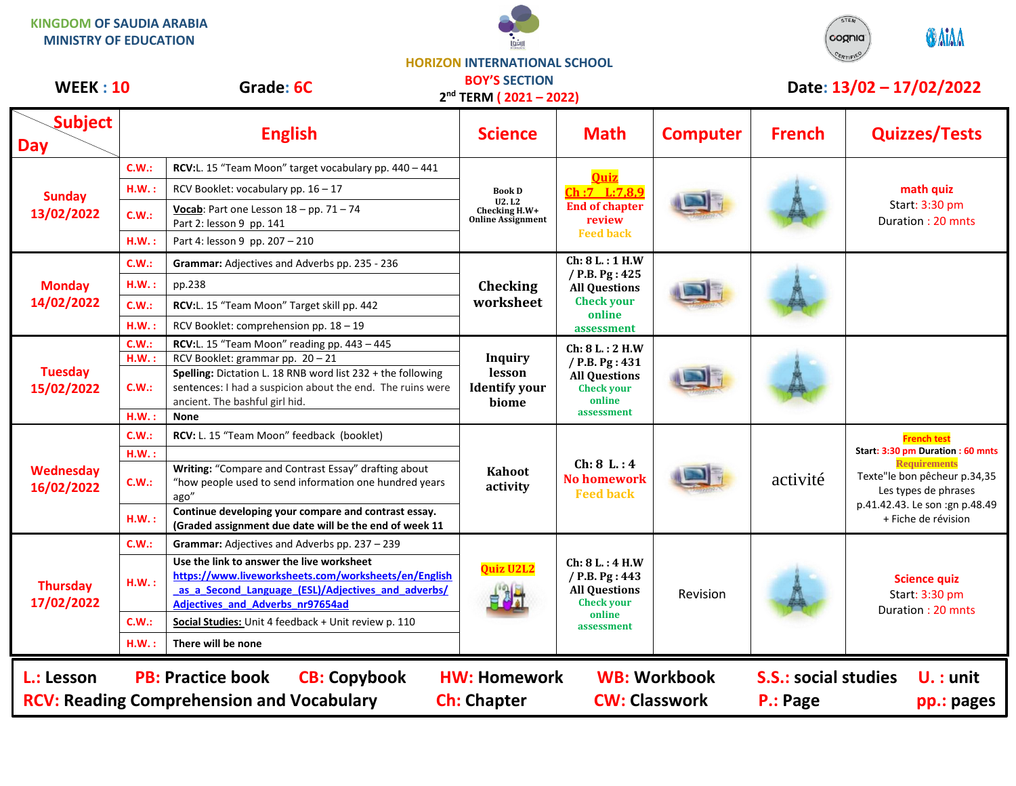**KINGDOM OF SAUDIA ARABIA MINISTRY OF EDUCATION**





## **HORIZON INTERNATIONAL SCHOOL**

| <b>WEEK: 10</b>                                                                                                                                                                                                                                                                       |       | <b>BOY'S SECTION</b><br>Grade: 6C<br>$2nd$ TERM ( $2021 - 2022$ )                                                                                                                                  |                                                                            |                                                                                                        | Date: 13/02 - 17/02/2022 |               |                                                                                                                                                                                                |  |
|---------------------------------------------------------------------------------------------------------------------------------------------------------------------------------------------------------------------------------------------------------------------------------------|-------|----------------------------------------------------------------------------------------------------------------------------------------------------------------------------------------------------|----------------------------------------------------------------------------|--------------------------------------------------------------------------------------------------------|--------------------------|---------------|------------------------------------------------------------------------------------------------------------------------------------------------------------------------------------------------|--|
| <b>Subject</b><br><b>Day</b>                                                                                                                                                                                                                                                          |       | <b>English</b>                                                                                                                                                                                     | <b>Science</b>                                                             | <b>Math</b>                                                                                            | <b>Computer</b>          | <b>French</b> | <b>Quizzes/Tests</b>                                                                                                                                                                           |  |
| <b>Sunday</b><br>13/02/2022                                                                                                                                                                                                                                                           | C.W.: | RCV:L. 15 "Team Moon" target vocabulary pp. 440 - 441                                                                                                                                              | <b>Book D</b><br><b>U2.L2</b><br>Checking H.W+<br><b>Online Assignment</b> | <b>Quiz</b><br>Ch:7 L:7,8,9<br><b>End of chapter</b><br>review<br><b>Feed back</b>                     |                          |               | math quiz<br>Start: 3:30 pm<br>Duration: 20 mnts                                                                                                                                               |  |
|                                                                                                                                                                                                                                                                                       | H.W.: | RCV Booklet: vocabulary pp. 16 - 17                                                                                                                                                                |                                                                            |                                                                                                        |                          |               |                                                                                                                                                                                                |  |
|                                                                                                                                                                                                                                                                                       | C.W.: | Vocab: Part one Lesson $18 - pp$ . 71 - 74<br>Part 2: lesson 9 pp. 141                                                                                                                             |                                                                            |                                                                                                        |                          |               |                                                                                                                                                                                                |  |
|                                                                                                                                                                                                                                                                                       | H.W.: | Part 4: lesson 9 pp. 207 - 210                                                                                                                                                                     |                                                                            |                                                                                                        |                          |               |                                                                                                                                                                                                |  |
| <b>Monday</b><br>14/02/2022                                                                                                                                                                                                                                                           | C.W.: | Grammar: Adjectives and Adverbs pp. 235 - 236                                                                                                                                                      | <b>Checking</b><br>worksheet                                               | Ch: 8 L.: 1 H.W<br>/ P.B. Pg: 425<br><b>All Questions</b><br><b>Check your</b><br>online<br>assessment |                          |               |                                                                                                                                                                                                |  |
|                                                                                                                                                                                                                                                                                       | H.W.: | pp.238                                                                                                                                                                                             |                                                                            |                                                                                                        |                          |               |                                                                                                                                                                                                |  |
|                                                                                                                                                                                                                                                                                       | C.W.: | RCV:L. 15 "Team Moon" Target skill pp. 442                                                                                                                                                         |                                                                            |                                                                                                        |                          |               |                                                                                                                                                                                                |  |
|                                                                                                                                                                                                                                                                                       | H.W.  | RCV Booklet: comprehension pp. 18 - 19                                                                                                                                                             |                                                                            |                                                                                                        |                          |               |                                                                                                                                                                                                |  |
| <b>Tuesday</b><br>15/02/2022                                                                                                                                                                                                                                                          | C.W.: | RCV:L. 15 "Team Moon" reading pp. 443 - 445                                                                                                                                                        | <b>Inquiry</b><br>lesson<br><b>Identify your</b><br>biome                  | Ch: 8 L.: 2 H.W<br>/ P.B. Pg: 431<br><b>All Questions</b><br><b>Check your</b><br>online<br>assessment |                          |               |                                                                                                                                                                                                |  |
|                                                                                                                                                                                                                                                                                       | H.W.: | RCV Booklet: grammar pp. 20 - 21<br>Spelling: Dictation L. 18 RNB word list 232 + the following                                                                                                    |                                                                            |                                                                                                        |                          |               |                                                                                                                                                                                                |  |
|                                                                                                                                                                                                                                                                                       | C.W.: | sentences: I had a suspicion about the end. The ruins were<br>ancient. The bashful girl hid.                                                                                                       |                                                                            |                                                                                                        |                          |               |                                                                                                                                                                                                |  |
|                                                                                                                                                                                                                                                                                       | H.W.: | <b>None</b>                                                                                                                                                                                        |                                                                            |                                                                                                        |                          |               |                                                                                                                                                                                                |  |
| Wednesday<br>16/02/2022                                                                                                                                                                                                                                                               | C.W.: | RCV: L. 15 "Team Moon" feedback (booklet)                                                                                                                                                          | <b>Kahoot</b><br>activity                                                  | Ch: 8 L: 4<br><b>No homework</b><br><b>Feed back</b>                                                   |                          | activité      | <b>French test</b><br>Start: 3:30 pm Duration: 60 mnts<br><b>Requirements</b><br>Texte"le bon pêcheur p.34,35<br>Les types de phrases<br>p.41.42.43. Le son :gn p.48.49<br>+ Fiche de révision |  |
|                                                                                                                                                                                                                                                                                       | H.W.: |                                                                                                                                                                                                    |                                                                            |                                                                                                        |                          |               |                                                                                                                                                                                                |  |
|                                                                                                                                                                                                                                                                                       | C.W.: | Writing: "Compare and Contrast Essay" drafting about<br>"how people used to send information one hundred years<br>ago"                                                                             |                                                                            |                                                                                                        |                          |               |                                                                                                                                                                                                |  |
|                                                                                                                                                                                                                                                                                       | H.W.: | Continue developing your compare and contrast essay.<br>(Graded assignment due date will be the end of week 11                                                                                     |                                                                            |                                                                                                        |                          |               |                                                                                                                                                                                                |  |
|                                                                                                                                                                                                                                                                                       | C.W.: | Grammar: Adjectives and Adverbs pp. 237 - 239                                                                                                                                                      |                                                                            | Ch: 8 L.: 4 H.W<br>/ P.B. Pg: 443<br><b>All Questions</b><br><b>Check your</b><br>online<br>assessment | Revision                 |               | <b>Science quiz</b><br>Start: 3:30 pm<br>Duration: 20 mnts                                                                                                                                     |  |
| <b>Thursday</b><br>17/02/2022                                                                                                                                                                                                                                                         | HM.:  | Use the link to answer the live worksheet<br>https://www.liveworksheets.com/worksheets/en/English<br>as a Second Language (ESL)/Adjectives and adverbs/<br><b>Adjectives and Adverbs nr97654ad</b> | <b>Quiz U2L2</b><br>自身计                                                    |                                                                                                        |                          |               |                                                                                                                                                                                                |  |
|                                                                                                                                                                                                                                                                                       | C.W.: | Social Studies: Unit 4 feedback + Unit review p. 110                                                                                                                                               |                                                                            |                                                                                                        |                          |               |                                                                                                                                                                                                |  |
|                                                                                                                                                                                                                                                                                       | H.W.: | There will be none                                                                                                                                                                                 |                                                                            |                                                                                                        |                          |               |                                                                                                                                                                                                |  |
| <b>PB: Practice book</b><br><b>WB: Workbook</b><br><b>S.S.: social studies</b><br>L.: Lesson<br><b>CB: Copybook</b><br><b>HW: Homework</b><br>$U.$ : unit<br><b>RCV: Reading Comprehension and Vocabulary</b><br><b>CW: Classwork</b><br><b>Ch: Chapter</b><br>P.: Page<br>pp.: pages |       |                                                                                                                                                                                                    |                                                                            |                                                                                                        |                          |               |                                                                                                                                                                                                |  |